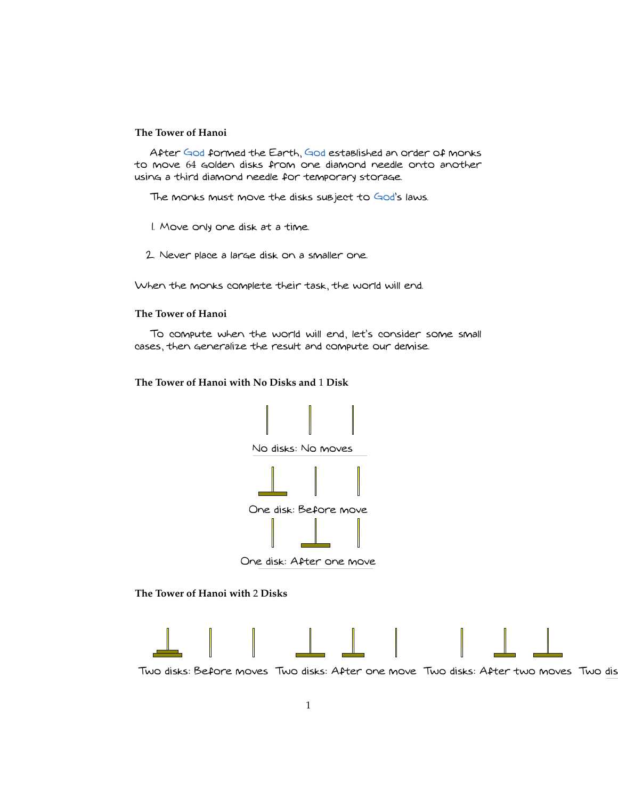## **The Tower of Hanoi**

After [God](http://en.wikipedia.org/wiki/God) formed the Earth, [God](http://en.wikipedia.org/wiki/God) established an order of monks to move 64 golden disks from one diamond needle onto another using a third diamond needle for temporary storage.

The monks must move the disks subject to [God'](http://en.wikipedia.org/wiki/God)s laws.

- 1. Move only one disk at a time.
- 2. Never place a large disk on a smaller one.

When the monks complete their task, the world will end.

#### **The Tower of Hanoi**

To compute when the world will end, let's consider some small cases, then generalize the result and compute our demise.

**The Tower of Hanoi with No Disks and** 1 **Disk**



One disk: After one move

**The Tower of Hanoi with** 2 **Disks**



Two disks: Before moves Two disks: After one move Two disks: After two moves Two dis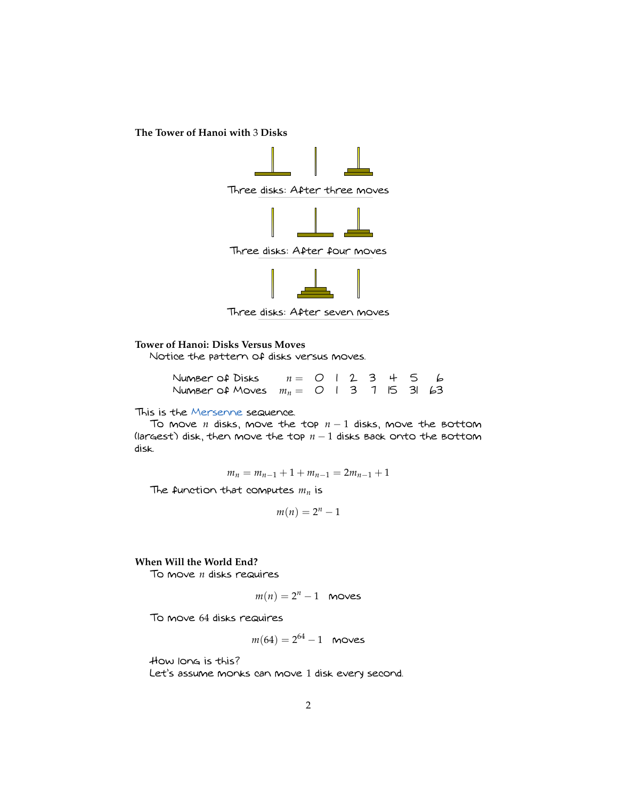**The Tower of Hanoi with** 3 **Disks**



Three disks: After seven moves

# **Tower of Hanoi: Disks Versus Moves**

Notice the pattern of disks versus moves.

| Number of Disks $n = 0$   2 3 + 5 6        |  |  |  |  |
|--------------------------------------------|--|--|--|--|
| Number of Moves $m_n = 0$   3 1   5 3   63 |  |  |  |  |

#### This is the [Mersenne](http://en.wikipedia.org/wiki/Mersenne) sequence.

To move *n* disks, move the top *n* − 1 disks, move the bottom (largest) disk, then move the top  $n-1$  disks back onto the bottom disk.

$$
m_n = m_{n-1} + 1 + m_{n-1} = 2m_{n-1} + 1
$$

The function that computes *m<sup>n</sup>* is

$$
m(n)=2^n-1
$$

### **When Will the World End?**

To move *n* disks requires

$$
m(n) = 2^n - 1 \quad \text{moves}
$$

To move 64 disks requires

$$
m(64) = 2^{64} - 1
$$
 moves

How long is this? Let's assume monks can move 1 disk every second.